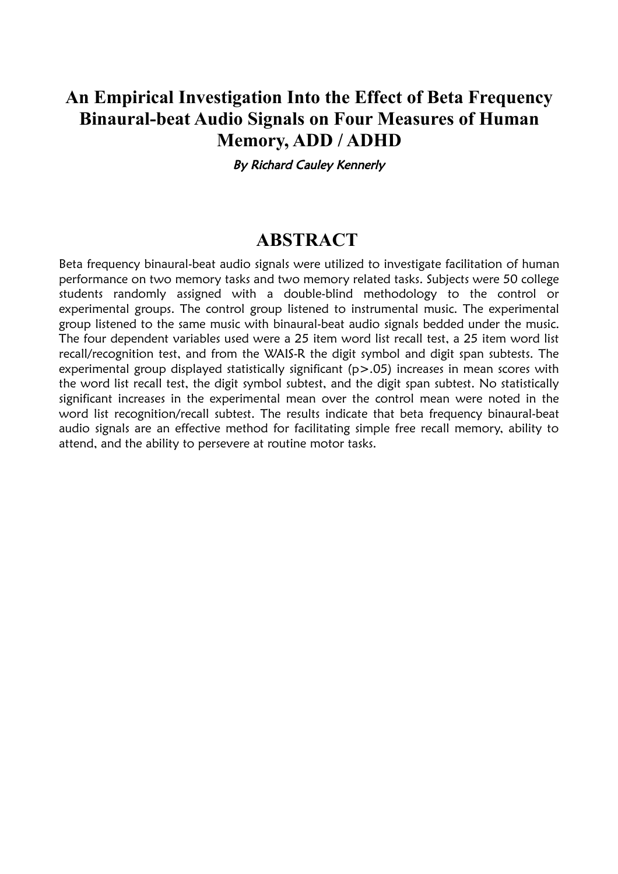## **An Empirical Investigation Into the Effect of Beta Frequency Binaural-beat Audio Signals on Four Measures of Human Memory, ADD / ADHD**

By Richard Cauley Kennerly

## **ABSTRACT**

Beta frequency binaural-beat audio signals were utilized to investigate facilitation of human performance on two memory tasks and two memory related tasks. Subjects were 50 college students randomly assigned with a double-blind methodology to the control or experimental groups. The control group listened to instrumental music. The experimental group listened to the same music with binaural-beat audio signals bedded under the music. The four dependent variables used were a 25 item word list recall test, a 25 item word list recall/recognition test, and from the WAIS-R the digit symbol and digit span subtests. The experimental group displayed statistically significant (p>.05) increases in mean scores with the word list recall test, the digit symbol subtest, and the digit span subtest. No statistically significant increases in the experimental mean over the control mean were noted in the word list recognition/recall subtest. The results indicate that beta frequency binaural-beat audio signals are an effective method for facilitating simple free recall memory, ability to attend, and the ability to persevere at routine motor tasks.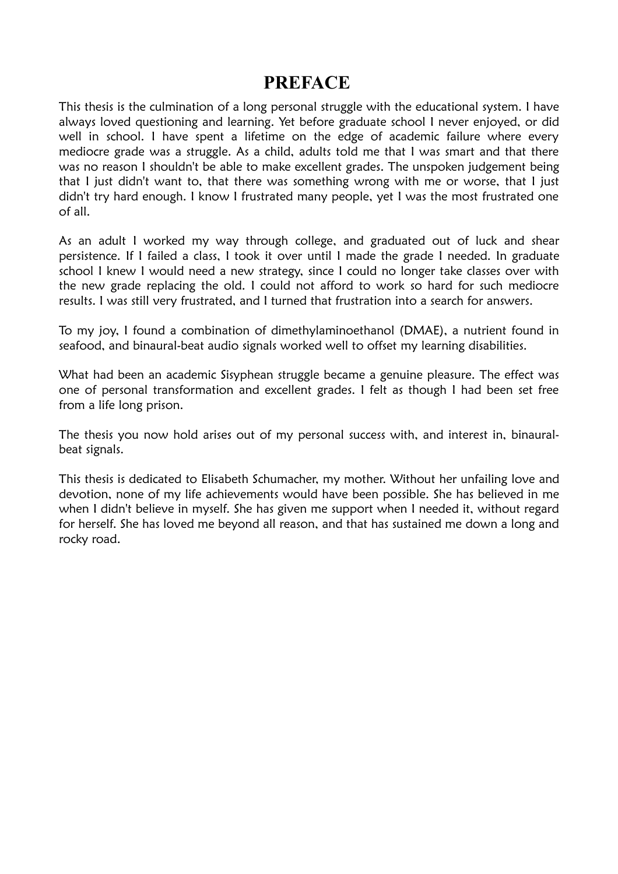## **PREFACE**

This thesis is the culmination of a long personal struggle with the educational system. I have always loved questioning and learning. Yet before graduate school I never enjoyed, or did well in school. I have spent a lifetime on the edge of academic failure where every mediocre grade was a struggle. As a child, adults told me that I was smart and that there was no reason I shouldn't be able to make excellent grades. The unspoken judgement being that I just didn't want to, that there was something wrong with me or worse, that I just didn't try hard enough. I know I frustrated many people, yet I was the most frustrated one of all.

As an adult I worked my way through college, and graduated out of luck and shear persistence. If I failed a class, I took it over until I made the grade I needed. In graduate school I knew I would need a new strategy, since I could no longer take classes over with the new grade replacing the old. I could not afford to work so hard for such mediocre results. I was still very frustrated, and I turned that frustration into a search for answers.

To my joy, I found a combination of dimethylaminoethanol (DMAE), a nutrient found in seafood, and binaural-beat audio signals worked well to offset my learning disabilities.

What had been an academic Sisyphean struggle became a genuine pleasure. The effect was one of personal transformation and excellent grades. I felt as though I had been set free from a life long prison.

The thesis you now hold arises out of my personal success with, and interest in, binauralbeat signals.

This thesis is dedicated to Elisabeth Schumacher, my mother. Without her unfailing love and devotion, none of my life achievements would have been possible. She has believed in me when I didn't believe in myself. She has given me support when I needed it, without regard for herself. She has loved me beyond all reason, and that has sustained me down a long and rocky road.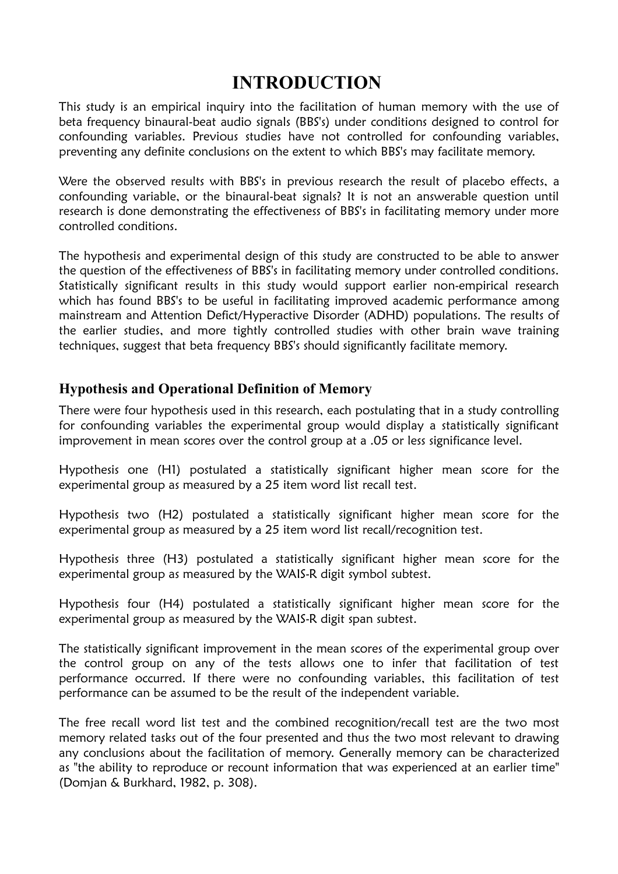# **INTRODUCTION**

This study is an empirical inquiry into the facilitation of human memory with the use of beta frequency binaural-beat audio signals (BBS's) under conditions designed to control for confounding variables. Previous studies have not controlled for confounding variables, preventing any definite conclusions on the extent to which BBS's may facilitate memory.

Were the observed results with BBS's in previous research the result of placebo effects, a confounding variable, or the binaural-beat signals? It is not an answerable question until research is done demonstrating the effectiveness of BBS's in facilitating memory under more controlled conditions.

The hypothesis and experimental design of this study are constructed to be able to answer the question of the effectiveness of BBS's in facilitating memory under controlled conditions. Statistically significant results in this study would support earlier non-empirical research which has found BBS's to be useful in facilitating improved academic performance among mainstream and Attention Defict/Hyperactive Disorder (ADHD) populations. The results of the earlier studies, and more tightly controlled studies with other brain wave training techniques, suggest that beta frequency BBS's should significantly facilitate memory.

## **Hypothesis and Operational Definition of Memory**

There were four hypothesis used in this research, each postulating that in a study controlling for confounding variables the experimental group would display a statistically significant improvement in mean scores over the control group at a .05 or less significance level.

Hypothesis one (H1) postulated a statistically significant higher mean score for the experimental group as measured by a 25 item word list recall test.

Hypothesis two (H2) postulated a statistically significant higher mean score for the experimental group as measured by a 25 item word list recall/recognition test.

Hypothesis three (H3) postulated a statistically significant higher mean score for the experimental group as measured by the WAIS-R digit symbol subtest.

Hypothesis four (H4) postulated a statistically significant higher mean score for the experimental group as measured by the WAIS-R digit span subtest.

The statistically significant improvement in the mean scores of the experimental group over the control group on any of the tests allows one to infer that facilitation of test performance occurred. If there were no confounding variables, this facilitation of test performance can be assumed to be the result of the independent variable.

The free recall word list test and the combined recognition/recall test are the two most memory related tasks out of the four presented and thus the two most relevant to drawing any conclusions about the facilitation of memory. Generally memory can be characterized as "the ability to reproduce or recount information that was experienced at an earlier time" (Domjan & Burkhard, 1982, p. 308).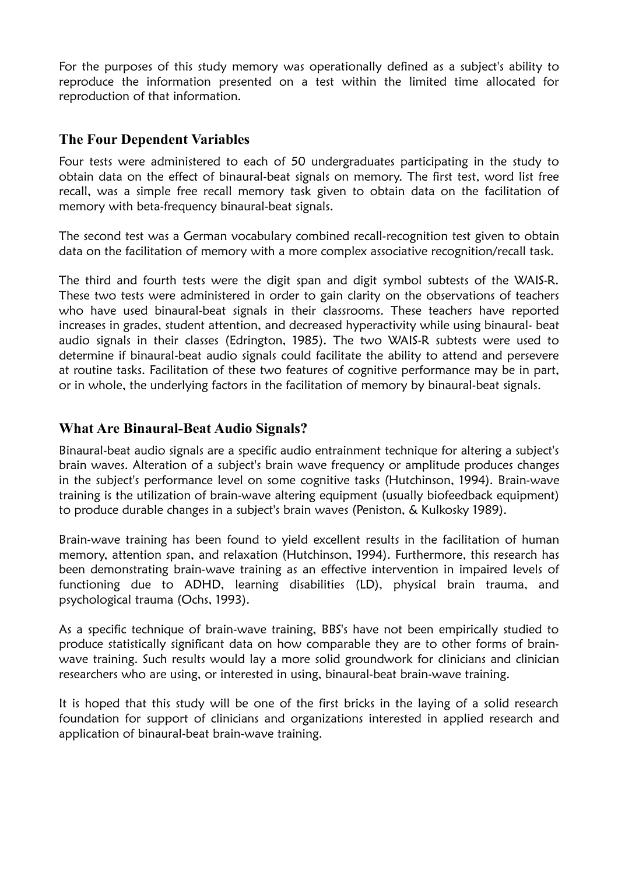For the purposes of this study memory was operationally defined as a subject's ability to reproduce the information presented on a test within the limited time allocated for reproduction of that information.

## **The Four Dependent Variables**

Four tests were administered to each of 50 undergraduates participating in the study to obtain data on the effect of binaural-beat signals on memory. The first test, word list free recall, was a simple free recall memory task given to obtain data on the facilitation of memory with beta-frequency binaural-beat signals.

The second test was a German vocabulary combined recall-recognition test given to obtain data on the facilitation of memory with a more complex associative recognition/recall task.

The third and fourth tests were the digit span and digit symbol subtests of the WAIS-R. These two tests were administered in order to gain clarity on the observations of teachers who have used binaural-beat signals in their classrooms. These teachers have reported increases in grades, student attention, and decreased hyperactivity while using binaural- beat audio signals in their classes (Edrington, 1985). The two WAIS-R subtests were used to determine if binaural-beat audio signals could facilitate the ability to attend and persevere at routine tasks. Facilitation of these two features of cognitive performance may be in part, or in whole, the underlying factors in the facilitation of memory by binaural-beat signals.

## **What Are Binaural-Beat Audio Signals?**

Binaural-beat audio signals are a specific audio entrainment technique for altering a subject's brain waves. Alteration of a subject's brain wave frequency or amplitude produces changes in the subject's performance level on some cognitive tasks (Hutchinson, 1994). Brain-wave training is the utilization of brain-wave altering equipment (usually biofeedback equipment) to produce durable changes in a subject's brain waves (Peniston, & Kulkosky 1989).

Brain-wave training has been found to yield excellent results in the facilitation of human memory, attention span, and relaxation (Hutchinson, 1994). Furthermore, this research has been demonstrating brain-wave training as an effective intervention in impaired levels of functioning due to ADHD, learning disabilities (LD), physical brain trauma, and psychological trauma (Ochs, 1993).

As a specific technique of brain-wave training, BBS's have not been empirically studied to produce statistically significant data on how comparable they are to other forms of brainwave training. Such results would lay a more solid groundwork for clinicians and clinician researchers who are using, or interested in using, binaural-beat brain-wave training.

It is hoped that this study will be one of the first bricks in the laying of a solid research foundation for support of clinicians and organizations interested in applied research and application of binaural-beat brain-wave training.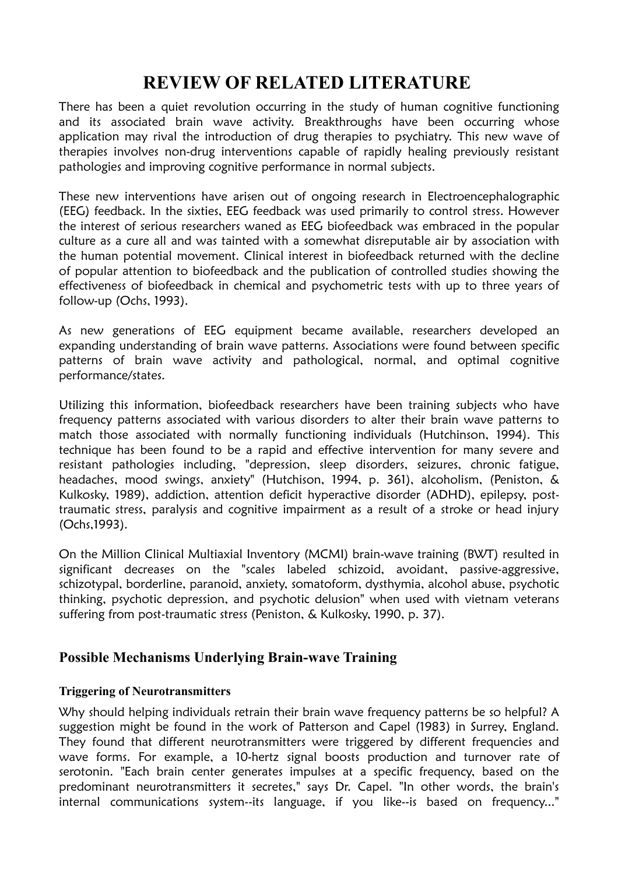# **REVIEW OF RELATED LITERATURE**

There has been a quiet revolution occurring in the study of human cognitive functioning and its associated brain wave activity. Breakthroughs have been occurring whose application may rival the introduction of drug therapies to psychiatry. This new wave of therapies involves non-drug interventions capable of rapidly healing previously resistant pathologies and improving cognitive performance in normal subjects.

These new interventions have arisen out of ongoing research in Electroencephalographic (EEG) feedback. In the sixties, EEG feedback was used primarily to control stress. However the interest of serious researchers waned as EEG biofeedback was embraced in the popular culture as a cure all and was tainted with a somewhat disreputable air by association with the human potential movement. Clinical interest in biofeedback returned with the decline of popular attention to biofeedback and the publication of controlled studies showing the effectiveness of biofeedback in chemical and psychometric tests with up to three years of follow-up (Ochs, 1993).

As new generations of EEG equipment became available, researchers developed an expanding understanding of brain wave patterns. Associations were found between specific patterns of brain wave activity and pathological, normal, and optimal cognitive performance/states.

Utilizing this information, biofeedback researchers have been training subjects who have frequency patterns associated with various disorders to alter their brain wave patterns to match those associated with normally functioning individuals (Hutchinson, 1994). This technique has been found to be a rapid and effective intervention for many severe and resistant pathologies including, "depression, sleep disorders, seizures, chronic fatigue, headaches, mood swings, anxiety" (Hutchison, 1994, p. 361), alcoholism, (Peniston, & Kulkosky, 1989), addiction, attention deficit hyperactive disorder (ADHD), epilepsy, posttraumatic stress, paralysis and cognitive impairment as a result of a stroke or head injury (Ochs,1993).

On the Million Clinical Multiaxial Inventory (MCMI) brain-wave training (BWT) resulted in significant decreases on the "scales labeled schizoid, avoidant, passive-aggressive, schizotypal, borderline, paranoid, anxiety, somatoform, dysthymia, alcohol abuse, psychotic thinking, psychotic depression, and psychotic delusion" when used with vietnam veterans suffering from post-traumatic stress (Peniston, & Kulkosky, 1990, p. 37).

## **Possible Mechanisms Underlying Brain-wave Training**

### **Triggering of Neurotransmitters**

Why should helping individuals retrain their brain wave frequency patterns be so helpful? A suggestion might be found in the work of Patterson and Capel (1983) in Surrey, England. They found that different neurotransmitters were triggered by different frequencies and wave forms. For example, a 10-hertz signal boosts production and turnover rate of serotonin. "Each brain center generates impulses at a specific frequency, based on the predominant neurotransmitters it secretes," says Dr. Capel. "In other words, the brain's internal communications system--its language, if you like--is based on frequency..."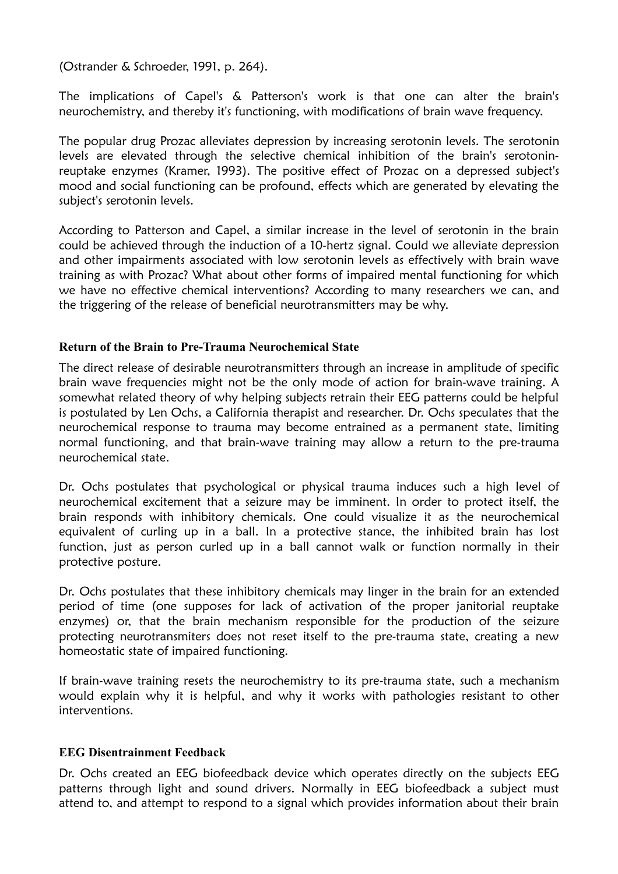(Ostrander & Schroeder, 1991, p. 264).

The implications of Capel's & Patterson's work is that one can alter the brain's neurochemistry, and thereby it's functioning, with modifications of brain wave frequency.

The popular drug Prozac alleviates depression by increasing serotonin levels. The serotonin levels are elevated through the selective chemical inhibition of the brain's serotoninreuptake enzymes (Kramer, 1993). The positive effect of Prozac on a depressed subject's mood and social functioning can be profound, effects which are generated by elevating the subject's serotonin levels.

According to Patterson and Capel, a similar increase in the level of serotonin in the brain could be achieved through the induction of a 10-hertz signal. Could we alleviate depression and other impairments associated with low serotonin levels as effectively with brain wave training as with Prozac? What about other forms of impaired mental functioning for which we have no effective chemical interventions? According to many researchers we can, and the triggering of the release of beneficial neurotransmitters may be why.

#### **Return of the Brain to Pre-Trauma Neurochemical State**

The direct release of desirable neurotransmitters through an increase in amplitude of specific brain wave frequencies might not be the only mode of action for brain-wave training. A somewhat related theory of why helping subjects retrain their EEG patterns could be helpful is postulated by Len Ochs, a California therapist and researcher. Dr. Ochs speculates that the neurochemical response to trauma may become entrained as a permanent state, limiting normal functioning, and that brain-wave training may allow a return to the pre-trauma neurochemical state.

Dr. Ochs postulates that psychological or physical trauma induces such a high level of neurochemical excitement that a seizure may be imminent. In order to protect itself, the brain responds with inhibitory chemicals. One could visualize it as the neurochemical equivalent of curling up in a ball. In a protective stance, the inhibited brain has lost function, just as person curled up in a ball cannot walk or function normally in their protective posture.

Dr. Ochs postulates that these inhibitory chemicals may linger in the brain for an extended period of time (one supposes for lack of activation of the proper janitorial reuptake enzymes) or, that the brain mechanism responsible for the production of the seizure protecting neurotransmiters does not reset itself to the pre-trauma state, creating a new homeostatic state of impaired functioning.

If brain-wave training resets the neurochemistry to its pre-trauma state, such a mechanism would explain why it is helpful, and why it works with pathologies resistant to other interventions.

### **EEG Disentrainment Feedback**

Dr. Ochs created an EEG biofeedback device which operates directly on the subjects EEG patterns through light and sound drivers. Normally in EEG biofeedback a subject must attend to, and attempt to respond to a signal which provides information about their brain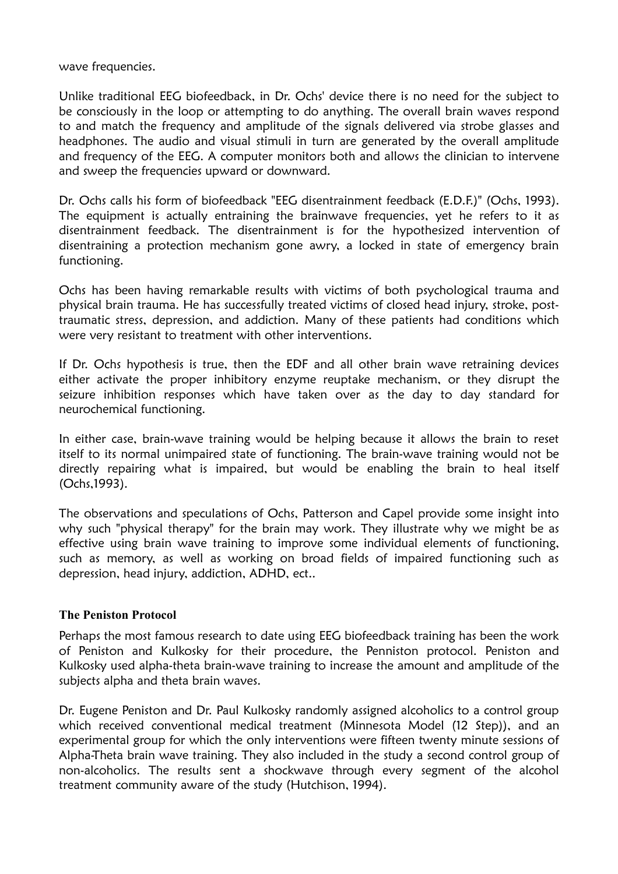wave frequencies.

Unlike traditional EEG biofeedback, in Dr. Ochs' device there is no need for the subject to be consciously in the loop or attempting to do anything. The overall brain waves respond to and match the frequency and amplitude of the signals delivered via strobe glasses and headphones. The audio and visual stimuli in turn are generated by the overall amplitude and frequency of the EEG. A computer monitors both and allows the clinician to intervene and sweep the frequencies upward or downward.

Dr. Ochs calls his form of biofeedback "EEG disentrainment feedback (E.D.F.)" (Ochs, 1993). The equipment is actually entraining the brainwave frequencies, yet he refers to it as disentrainment feedback. The disentrainment is for the hypothesized intervention of disentraining a protection mechanism gone awry, a locked in state of emergency brain functioning.

Ochs has been having remarkable results with victims of both psychological trauma and physical brain trauma. He has successfully treated victims of closed head injury, stroke, posttraumatic stress, depression, and addiction. Many of these patients had conditions which were very resistant to treatment with other interventions.

If Dr. Ochs hypothesis is true, then the EDF and all other brain wave retraining devices either activate the proper inhibitory enzyme reuptake mechanism, or they disrupt the seizure inhibition responses which have taken over as the day to day standard for neurochemical functioning.

In either case, brain-wave training would be helping because it allows the brain to reset itself to its normal unimpaired state of functioning. The brain-wave training would not be directly repairing what is impaired, but would be enabling the brain to heal itself (Ochs,1993).

The observations and speculations of Ochs, Patterson and Capel provide some insight into why such "physical therapy" for the brain may work. They illustrate why we might be as effective using brain wave training to improve some individual elements of functioning, such as memory, as well as working on broad fields of impaired functioning such as depression, head injury, addiction, ADHD, ect..

#### **The Peniston Protocol**

Perhaps the most famous research to date using EEG biofeedback training has been the work of Peniston and Kulkosky for their procedure, the Penniston protocol. Peniston and Kulkosky used alpha-theta brain-wave training to increase the amount and amplitude of the subjects alpha and theta brain waves.

Dr. Eugene Peniston and Dr. Paul Kulkosky randomly assigned alcoholics to a control group which received conventional medical treatment (Minnesota Model (12 Step)), and an experimental group for which the only interventions were fifteen twenty minute sessions of Alpha-Theta brain wave training. They also included in the study a second control group of non-alcoholics. The results sent a shockwave through every segment of the alcohol treatment community aware of the study (Hutchison, 1994).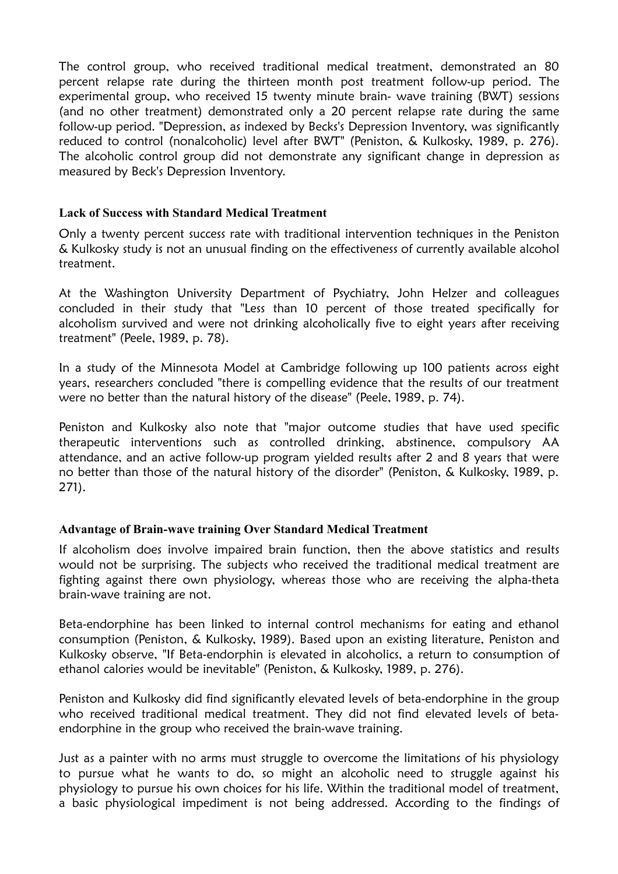The control group, who received traditional medical treatment, demonstrated an 80 percent relapse rate during the thirteen month post treatment follow-up period. The experimental group, who received 15 twenty minute brain- wave training (BWT) sessions (and no other treatment) demonstrated only a 20 percent relapse rate during the same follow-up period. "Depression, as indexed by Becks's Depression Inventory, was significantly reduced to control (nonalcoholic) level after BWT" (Peniston, & Kulkosky, 1989, p. 276). The alcoholic control group did not demonstrate any significant change in depression as measured by Beck's Depression Inventory.

#### **Lack of Success with Standard Medical Treatment**

Only a twenty percent success rate with traditional intervention techniques in the Peniston & Kulkosky study is not an unusual finding on the effectiveness of currently available alcohol treatment.

At the Washington University Department of Psychiatry, John Helzer and colleagues concluded in their study that "Less than 10 percent of those treated specifically for alcoholism survived and were not drinking alcoholically five to eight years after receiving treatment" (Peele, 1989, p. 78).

In a study of the Minnesota Model at Cambridge following up 100 patients across eight years, researchers concluded "there is compelling evidence that the results of our treatment were no better than the natural history of the disease" (Peele, 1989, p. 74).

Peniston and Kulkosky also note that "major outcome studies that have used specific therapeutic interventions such as controlled drinking, abstinence, compulsory AA attendance, and an active follow-up program yielded results after 2 and 8 years that were no better than those of the natural history of the disorder" (Peniston, & Kulkosky, 1989, p. 271).

#### **Advantage of Brain-wave training Over Standard Medical Treatment**

If alcoholism does involve impaired brain function, then the above statistics and results would not be surprising. The subjects who received the traditional medical treatment are fighting against there own physiology, whereas those who are receiving the alpha-theta brain-wave training are not.

Beta-endorphine has been linked to internal control mechanisms for eating and ethanol consumption (Peniston, & Kulkosky, 1989). Based upon an existing literature, Peniston and Kulkosky observe, "If Beta-endorphin is elevated in alcoholics, a return to consumption of ethanol calories would be inevitable" (Peniston, & Kulkosky, 1989, p. 276).

Peniston and Kulkosky did find significantly elevated levels of beta-endorphine in the group who received traditional medical treatment. They did not find elevated levels of betaendorphine in the group who received the brain-wave training.

Just as a painter with no arms must struggle to overcome the limitations of his physiology to pursue what he wants to do, so might an alcoholic need to struggle against his physiology to pursue his own choices for his life. Within the traditional model of treatment, a basic physiological impediment is not being addressed. According to the findings of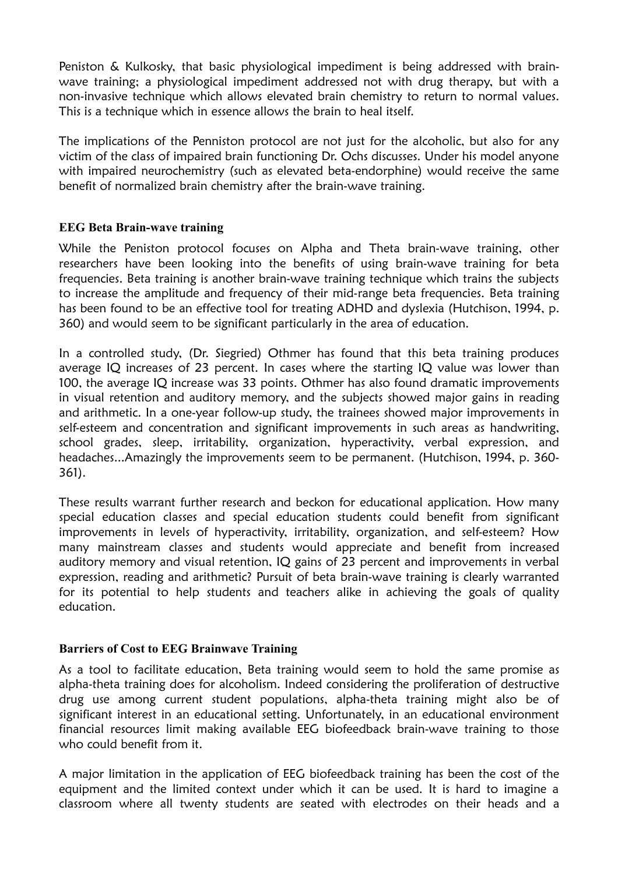Peniston & Kulkosky, that basic physiological impediment is being addressed with brainwave training; a physiological impediment addressed not with drug therapy, but with a non-invasive technique which allows elevated brain chemistry to return to normal values. This is a technique which in essence allows the brain to heal itself.

The implications of the Penniston protocol are not just for the alcoholic, but also for any victim of the class of impaired brain functioning Dr. Ochs discusses. Under his model anyone with impaired neurochemistry (such as elevated beta-endorphine) would receive the same benefit of normalized brain chemistry after the brain-wave training.

#### **EEG Beta Brain-wave training**

While the Peniston protocol focuses on Alpha and Theta brain-wave training, other researchers have been looking into the benefits of using brain-wave training for beta frequencies. Beta training is another brain-wave training technique which trains the subjects to increase the amplitude and frequency of their mid-range beta frequencies. Beta training has been found to be an effective tool for treating ADHD and dyslexia (Hutchison, 1994, p. 360) and would seem to be significant particularly in the area of education.

In a controlled study, (Dr. Siegried) Othmer has found that this beta training produces average IQ increases of 23 percent. In cases where the starting IQ value was lower than 100, the average IQ increase was 33 points. Othmer has also found dramatic improvements in visual retention and auditory memory, and the subjects showed major gains in reading and arithmetic. In a one-year follow-up study, the trainees showed major improvements in self-esteem and concentration and significant improvements in such areas as handwriting, school grades, sleep, irritability, organization, hyperactivity, verbal expression, and headaches...Amazingly the improvements seem to be permanent. (Hutchison, 1994, p. 360- 361).

These results warrant further research and beckon for educational application. How many special education classes and special education students could benefit from significant improvements in levels of hyperactivity, irritability, organization, and self-esteem? How many mainstream classes and students would appreciate and benefit from increased auditory memory and visual retention, IQ gains of 23 percent and improvements in verbal expression, reading and arithmetic? Pursuit of beta brain-wave training is clearly warranted for its potential to help students and teachers alike in achieving the goals of quality education.

#### **Barriers of Cost to EEG Brainwave Training**

As a tool to facilitate education, Beta training would seem to hold the same promise as alpha-theta training does for alcoholism. Indeed considering the proliferation of destructive drug use among current student populations, alpha-theta training might also be of significant interest in an educational setting. Unfortunately, in an educational environment financial resources limit making available EEG biofeedback brain-wave training to those who could benefit from it.

A major limitation in the application of EEG biofeedback training has been the cost of the equipment and the limited context under which it can be used. It is hard to imagine a classroom where all twenty students are seated with electrodes on their heads and a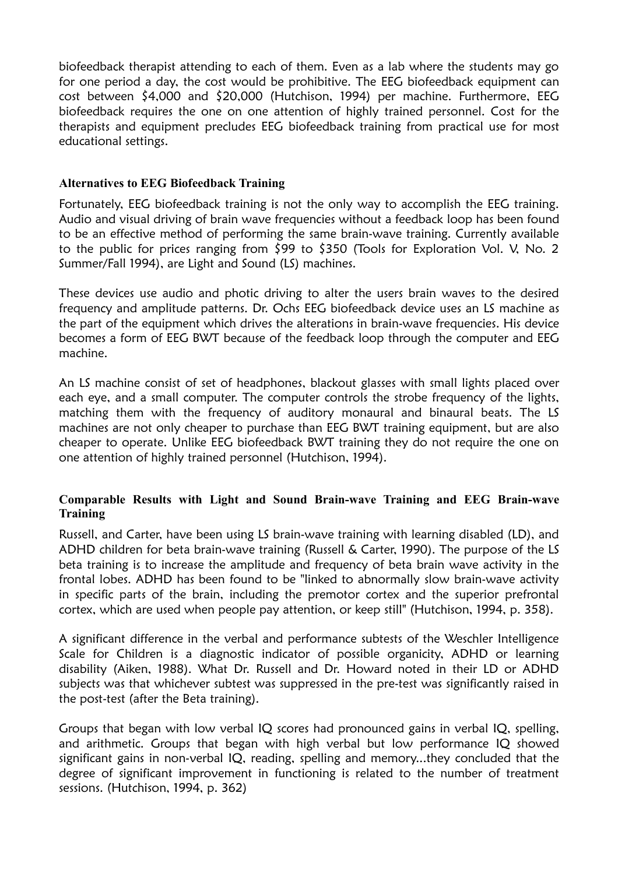biofeedback therapist attending to each of them. Even as a lab where the students may go for one period a day, the cost would be prohibitive. The EEG biofeedback equipment can cost between \$4,000 and \$20,000 (Hutchison, 1994) per machine. Furthermore, EEG biofeedback requires the one on one attention of highly trained personnel. Cost for the therapists and equipment precludes EEG biofeedback training from practical use for most educational settings.

#### **Alternatives to EEG Biofeedback Training**

Fortunately, EEG biofeedback training is not the only way to accomplish the EEG training. Audio and visual driving of brain wave frequencies without a feedback loop has been found to be an effective method of performing the same brain-wave training. Currently available to the public for prices ranging from \$99 to \$350 (Tools for Exploration Vol. V, No. 2 Summer/Fall 1994), are Light and Sound (LS) machines.

These devices use audio and photic driving to alter the users brain waves to the desired frequency and amplitude patterns. Dr. Ochs EEG biofeedback device uses an LS machine as the part of the equipment which drives the alterations in brain-wave frequencies. His device becomes a form of EEG BWT because of the feedback loop through the computer and EEG machine.

An LS machine consist of set of headphones, blackout glasses with small lights placed over each eye, and a small computer. The computer controls the strobe frequency of the lights, matching them with the frequency of auditory monaural and binaural beats. The LS machines are not only cheaper to purchase than EEG BWT training equipment, but are also cheaper to operate. Unlike EEG biofeedback BWT training they do not require the one on one attention of highly trained personnel (Hutchison, 1994).

#### **Comparable Results with Light and Sound Brain-wave Training and EEG Brain-wave Training**

Russell, and Carter, have been using LS brain-wave training with learning disabled (LD), and ADHD children for beta brain-wave training (Russell & Carter, 1990). The purpose of the LS beta training is to increase the amplitude and frequency of beta brain wave activity in the frontal lobes. ADHD has been found to be "linked to abnormally slow brain-wave activity in specific parts of the brain, including the premotor cortex and the superior prefrontal cortex, which are used when people pay attention, or keep still" (Hutchison, 1994, p. 358).

A significant difference in the verbal and performance subtests of the Weschler Intelligence Scale for Children is a diagnostic indicator of possible organicity, ADHD or learning disability (Aiken, 1988). What Dr. Russell and Dr. Howard noted in their LD or ADHD subjects was that whichever subtest was suppressed in the pre-test was significantly raised in the post-test (after the Beta training).

Groups that began with low verbal IQ scores had pronounced gains in verbal IQ, spelling, and arithmetic. Groups that began with high verbal but low performance IQ showed significant gains in non-verbal IQ, reading, spelling and memory...they concluded that the degree of significant improvement in functioning is related to the number of treatment sessions. (Hutchison, 1994, p. 362)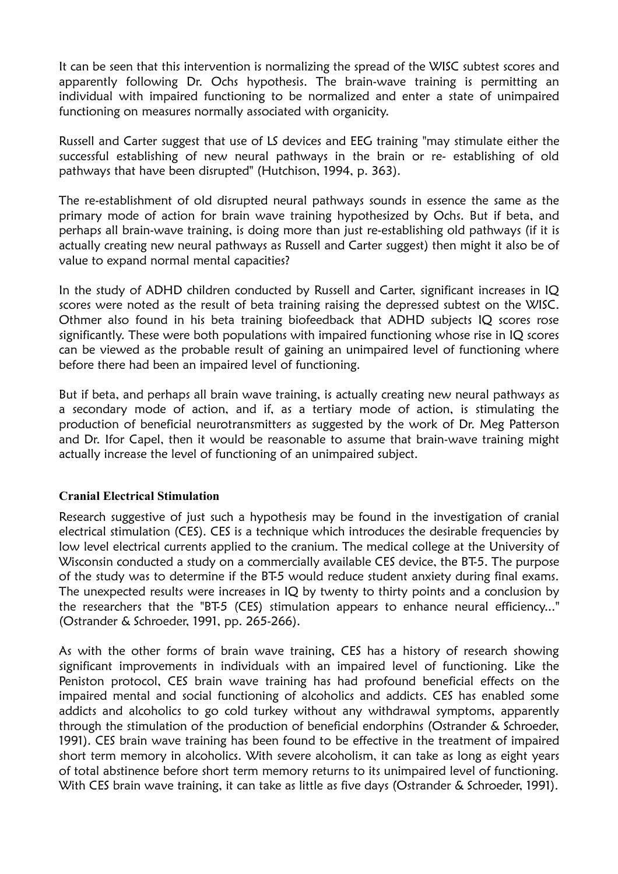It can be seen that this intervention is normalizing the spread of the WISC subtest scores and apparently following Dr. Ochs hypothesis. The brain-wave training is permitting an individual with impaired functioning to be normalized and enter a state of unimpaired functioning on measures normally associated with organicity.

Russell and Carter suggest that use of LS devices and EEG training "may stimulate either the successful establishing of new neural pathways in the brain or re- establishing of old pathways that have been disrupted" (Hutchison, 1994, p. 363).

The re-establishment of old disrupted neural pathways sounds in essence the same as the primary mode of action for brain wave training hypothesized by Ochs. But if beta, and perhaps all brain-wave training, is doing more than just re-establishing old pathways (if it is actually creating new neural pathways as Russell and Carter suggest) then might it also be of value to expand normal mental capacities?

In the study of ADHD children conducted by Russell and Carter, significant increases in IQ scores were noted as the result of beta training raising the depressed subtest on the WISC. Othmer also found in his beta training biofeedback that ADHD subjects IQ scores rose significantly. These were both populations with impaired functioning whose rise in IQ scores can be viewed as the probable result of gaining an unimpaired level of functioning where before there had been an impaired level of functioning.

But if beta, and perhaps all brain wave training, is actually creating new neural pathways as a secondary mode of action, and if, as a tertiary mode of action, is stimulating the production of beneficial neurotransmitters as suggested by the work of Dr. Meg Patterson and Dr. Ifor Capel, then it would be reasonable to assume that brain-wave training might actually increase the level of functioning of an unimpaired subject.

#### **Cranial Electrical Stimulation**

Research suggestive of just such a hypothesis may be found in the investigation of cranial electrical stimulation (CES). CES is a technique which introduces the desirable frequencies by low level electrical currents applied to the cranium. The medical college at the University of Wisconsin conducted a study on a commercially available CES device, the BT-5. The purpose of the study was to determine if the BT-5 would reduce student anxiety during final exams. The unexpected results were increases in IQ by twenty to thirty points and a conclusion by the researchers that the "BT-5 (CES) stimulation appears to enhance neural efficiency..." (Ostrander & Schroeder, 1991, pp. 265-266).

As with the other forms of brain wave training, CES has a history of research showing significant improvements in individuals with an impaired level of functioning. Like the Peniston protocol, CES brain wave training has had profound beneficial effects on the impaired mental and social functioning of alcoholics and addicts. CES has enabled some addicts and alcoholics to go cold turkey without any withdrawal symptoms, apparently through the stimulation of the production of beneficial endorphins (Ostrander & Schroeder, 1991). CES brain wave training has been found to be effective in the treatment of impaired short term memory in alcoholics. With severe alcoholism, it can take as long as eight years of total abstinence before short term memory returns to its unimpaired level of functioning. With CES brain wave training, it can take as little as five days (Ostrander & Schroeder, 1991).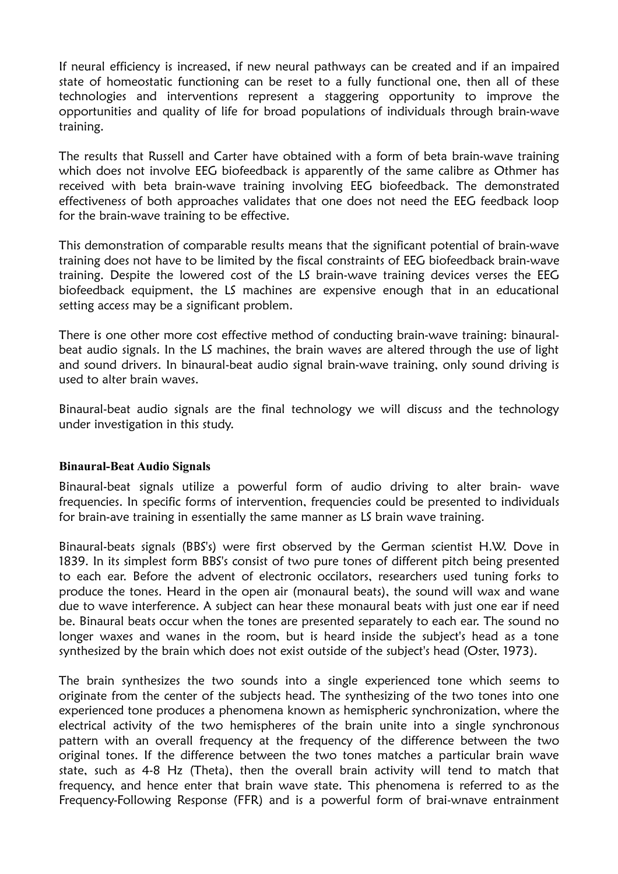If neural efficiency is increased, if new neural pathways can be created and if an impaired state of homeostatic functioning can be reset to a fully functional one, then all of these technologies and interventions represent a staggering opportunity to improve the opportunities and quality of life for broad populations of individuals through brain-wave training.

The results that Russell and Carter have obtained with a form of beta brain-wave training which does not involve EEG biofeedback is apparently of the same calibre as Othmer has received with beta brain-wave training involving EEG biofeedback. The demonstrated effectiveness of both approaches validates that one does not need the EEG feedback loop for the brain-wave training to be effective.

This demonstration of comparable results means that the significant potential of brain-wave training does not have to be limited by the fiscal constraints of EEG biofeedback brain-wave training. Despite the lowered cost of the LS brain-wave training devices verses the EEG biofeedback equipment, the LS machines are expensive enough that in an educational setting access may be a significant problem.

There is one other more cost effective method of conducting brain-wave training: binauralbeat audio signals. In the LS machines, the brain waves are altered through the use of light and sound drivers. In binaural-beat audio signal brain-wave training, only sound driving is used to alter brain waves.

Binaural-beat audio signals are the final technology we will discuss and the technology under investigation in this study.

#### **Binaural-Beat Audio Signals**

Binaural-beat signals utilize a powerful form of audio driving to alter brain- wave frequencies. In specific forms of intervention, frequencies could be presented to individuals for brain-ave training in essentially the same manner as LS brain wave training.

Binaural-beats signals (BBS's) were first observed by the German scientist H.W. Dove in 1839. In its simplest form BBS's consist of two pure tones of different pitch being presented to each ear. Before the advent of electronic occilators, researchers used tuning forks to produce the tones. Heard in the open air (monaural beats), the sound will wax and wane due to wave interference. A subject can hear these monaural beats with just one ear if need be. Binaural beats occur when the tones are presented separately to each ear. The sound no longer waxes and wanes in the room, but is heard inside the subject's head as a tone synthesized by the brain which does not exist outside of the subject's head (Oster, 1973).

The brain synthesizes the two sounds into a single experienced tone which seems to originate from the center of the subjects head. The synthesizing of the two tones into one experienced tone produces a phenomena known as hemispheric synchronization, where the electrical activity of the two hemispheres of the brain unite into a single synchronous pattern with an overall frequency at the frequency of the difference between the two original tones. If the difference between the two tones matches a particular brain wave state, such as 4-8 Hz (Theta), then the overall brain activity will tend to match that frequency, and hence enter that brain wave state. This phenomena is referred to as the Frequency-Following Response (FFR) and is a powerful form of brai-wnave entrainment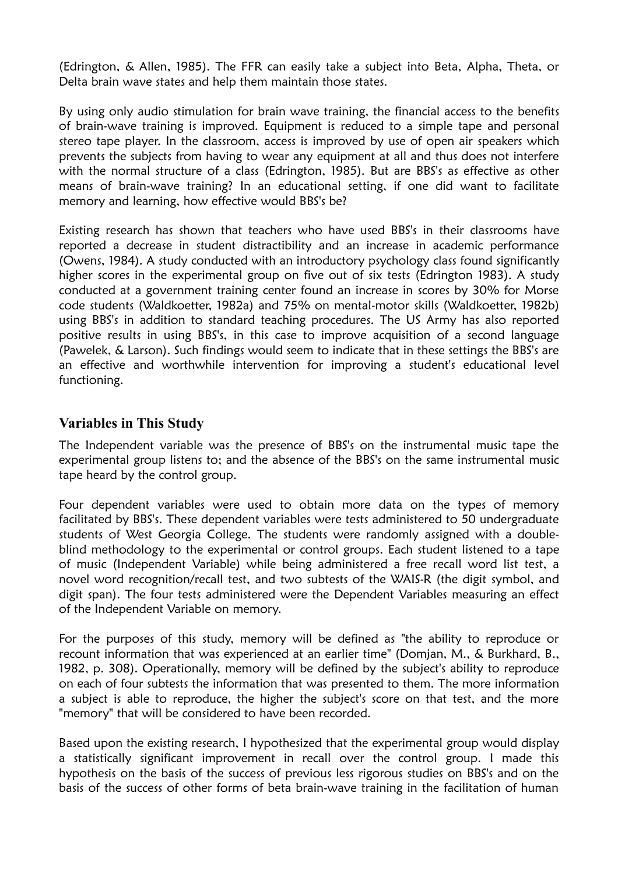(Edrington, & Allen, 1985). The FFR can easily take a subject into Beta, Alpha, Theta, or Delta brain wave states and help them maintain those states.

By using only audio stimulation for brain wave training, the financial access to the benefits of brain-wave training is improved. Equipment is reduced to a simple tape and personal stereo tape player. In the classroom, access is improved by use of open air speakers which prevents the subjects from having to wear any equipment at all and thus does not interfere with the normal structure of a class (Edrington, 1985). But are BBS's as effective as other means of brain-wave training? In an educational setting, if one did want to facilitate memory and learning, how effective would BBS's be?

Existing research has shown that teachers who have used BBS's in their classrooms have reported a decrease in student distractibility and an increase in academic performance (Owens, 1984). A study conducted with an introductory psychology class found significantly higher scores in the experimental group on five out of six tests (Edrington 1983). A study conducted at a government training center found an increase in scores by 30% for Morse code students (Waldkoetter, 1982a) and 75% on mental-motor skills (Waldkoetter, 1982b) using BBS's in addition to standard teaching procedures. The US Army has also reported positive results in using BBS's, in this case to improve acquisition of a second language (Pawelek, & Larson). Such findings would seem to indicate that in these settings the BBS's are an effective and worthwhile intervention for improving a student's educational level functioning.

## **Variables in This Study**

The Independent variable was the presence of BBS's on the instrumental music tape the experimental group listens to; and the absence of the BBS's on the same instrumental music tape heard by the control group.

Four dependent variables were used to obtain more data on the types of memory facilitated by BBS's. These dependent variables were tests administered to 50 undergraduate students of West Georgia College. The students were randomly assigned with a doubleblind methodology to the experimental or control groups. Each student listened to a tape of music (Independent Variable) while being administered a free recall word list test, a novel word recognition/recall test, and two subtests of the WAIS-R (the digit symbol, and digit span). The four tests administered were the Dependent Variables measuring an effect of the Independent Variable on memory.

For the purposes of this study, memory will be defined as "the ability to reproduce or recount information that was experienced at an earlier time" (Domjan, M., & Burkhard, B., 1982, p. 308). Operationally, memory will be defined by the subject's ability to reproduce on each of four subtests the information that was presented to them. The more information a subject is able to reproduce, the higher the subject's score on that test, and the more "memory" that will be considered to have been recorded.

Based upon the existing research, I hypothesized that the experimental group would display a statistically significant improvement in recall over the control group. I made this hypothesis on the basis of the success of previous less rigorous studies on BBS's and on the basis of the success of other forms of beta brain-wave training in the facilitation of human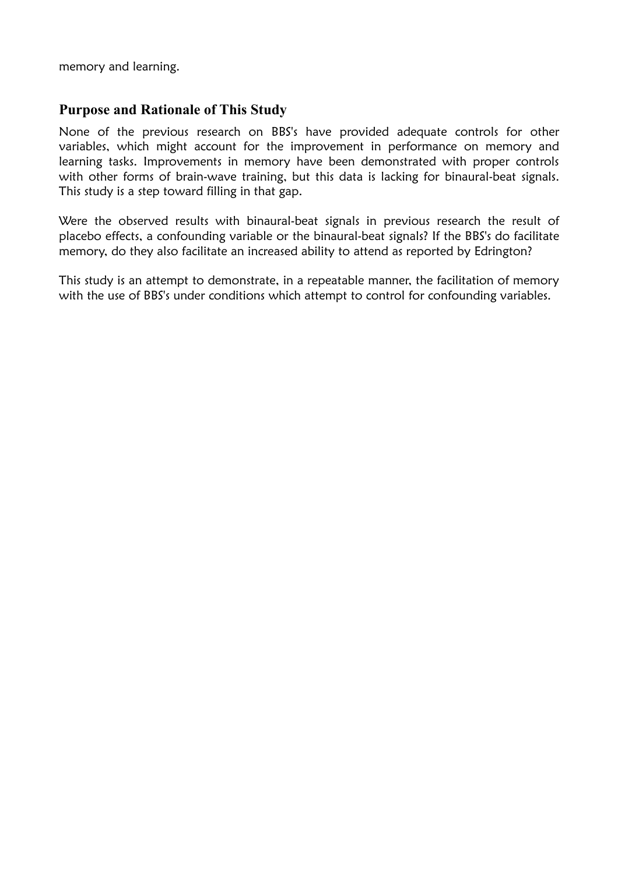memory and learning.

## **Purpose and Rationale of This Study**

None of the previous research on BBS's have provided adequate controls for other variables, which might account for the improvement in performance on memory and learning tasks. Improvements in memory have been demonstrated with proper controls with other forms of brain-wave training, but this data is lacking for binaural-beat signals. This study is a step toward filling in that gap.

Were the observed results with binaural-beat signals in previous research the result of placebo effects, a confounding variable or the binaural-beat signals? If the BBS's do facilitate memory, do they also facilitate an increased ability to attend as reported by Edrington?

This study is an attempt to demonstrate, in a repeatable manner, the facilitation of memory with the use of BBS's under conditions which attempt to control for confounding variables.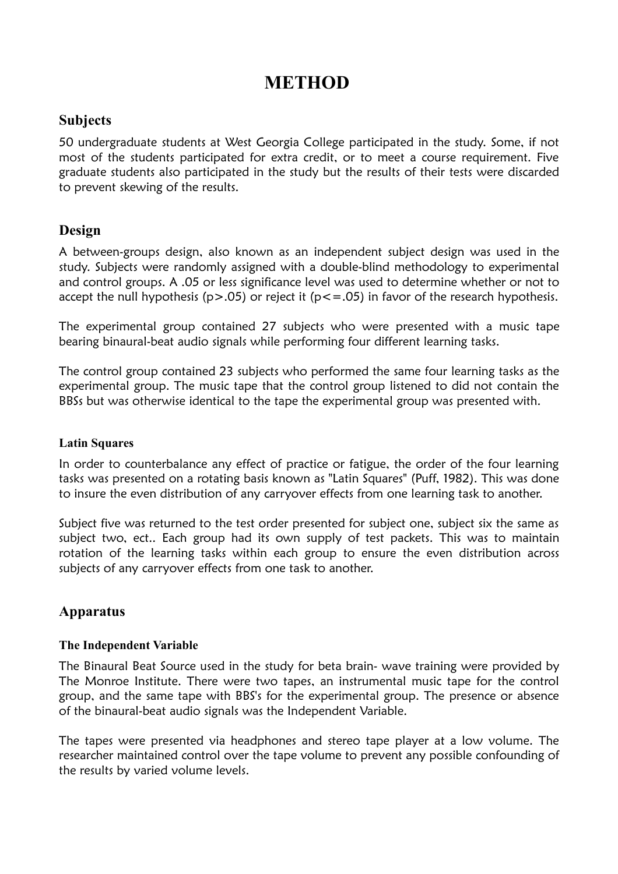# **METHOD**

## **Subjects**

50 undergraduate students at West Georgia College participated in the study. Some, if not most of the students participated for extra credit, or to meet a course requirement. Five graduate students also participated in the study but the results of their tests were discarded to prevent skewing of the results.

## **Design**

A between-groups design, also known as an independent subject design was used in the study. Subjects were randomly assigned with a double-blind methodology to experimental and control groups. A .05 or less significance level was used to determine whether or not to accept the null hypothesis ( $p > .05$ ) or reject it ( $p < = .05$ ) in favor of the research hypothesis.

The experimental group contained 27 subjects who were presented with a music tape bearing binaural-beat audio signals while performing four different learning tasks.

The control group contained 23 subjects who performed the same four learning tasks as the experimental group. The music tape that the control group listened to did not contain the BBSs but was otherwise identical to the tape the experimental group was presented with.

#### **Latin Squares**

In order to counterbalance any effect of practice or fatigue, the order of the four learning tasks was presented on a rotating basis known as "Latin Squares" (Puff, 1982). This was done to insure the even distribution of any carryover effects from one learning task to another.

Subject five was returned to the test order presented for subject one, subject six the same as subject two, ect.. Each group had its own supply of test packets. This was to maintain rotation of the learning tasks within each group to ensure the even distribution across subjects of any carryover effects from one task to another.

## **Apparatus**

### **The Independent Variable**

The Binaural Beat Source used in the study for beta brain- wave training were provided by The Monroe Institute. There were two tapes, an instrumental music tape for the control group, and the same tape with BBS's for the experimental group. The presence or absence of the binaural-beat audio signals was the Independent Variable.

The tapes were presented via headphones and stereo tape player at a low volume. The researcher maintained control over the tape volume to prevent any possible confounding of the results by varied volume levels.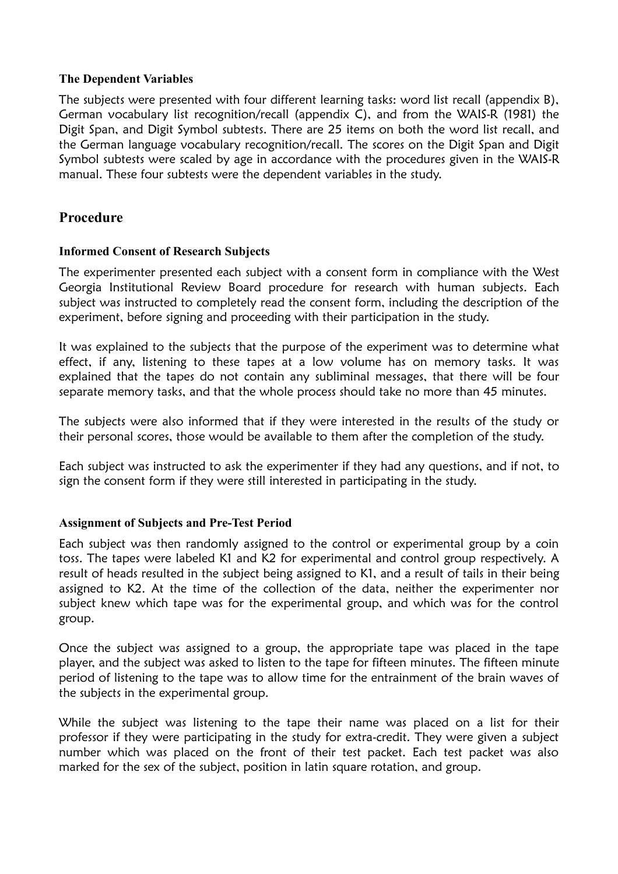#### **The Dependent Variables**

The subjects were presented with four different learning tasks: word list recall (appendix B), German vocabulary list recognition/recall (appendix C), and from the WAIS-R (1981) the Digit Span, and Digit Symbol subtests. There are 25 items on both the word list recall, and the German language vocabulary recognition/recall. The scores on the Digit Span and Digit Symbol subtests were scaled by age in accordance with the procedures given in the WAIS-R manual. These four subtests were the dependent variables in the study.

## **Procedure**

#### **Informed Consent of Research Subjects**

The experimenter presented each subject with a consent form in compliance with the West Georgia Institutional Review Board procedure for research with human subjects. Each subject was instructed to completely read the consent form, including the description of the experiment, before signing and proceeding with their participation in the study.

It was explained to the subjects that the purpose of the experiment was to determine what effect, if any, listening to these tapes at a low volume has on memory tasks. It was explained that the tapes do not contain any subliminal messages, that there will be four separate memory tasks, and that the whole process should take no more than 45 minutes.

The subjects were also informed that if they were interested in the results of the study or their personal scores, those would be available to them after the completion of the study.

Each subject was instructed to ask the experimenter if they had any questions, and if not, to sign the consent form if they were still interested in participating in the study.

#### **Assignment of Subjects and Pre-Test Period**

Each subject was then randomly assigned to the control or experimental group by a coin toss. The tapes were labeled K1 and K2 for experimental and control group respectively. A result of heads resulted in the subject being assigned to K1, and a result of tails in their being assigned to K2. At the time of the collection of the data, neither the experimenter nor subject knew which tape was for the experimental group, and which was for the control group.

Once the subject was assigned to a group, the appropriate tape was placed in the tape player, and the subject was asked to listen to the tape for fifteen minutes. The fifteen minute period of listening to the tape was to allow time for the entrainment of the brain waves of the subjects in the experimental group.

While the subject was listening to the tape their name was placed on a list for their professor if they were participating in the study for extra-credit. They were given a subject number which was placed on the front of their test packet. Each test packet was also marked for the sex of the subject, position in latin square rotation, and group.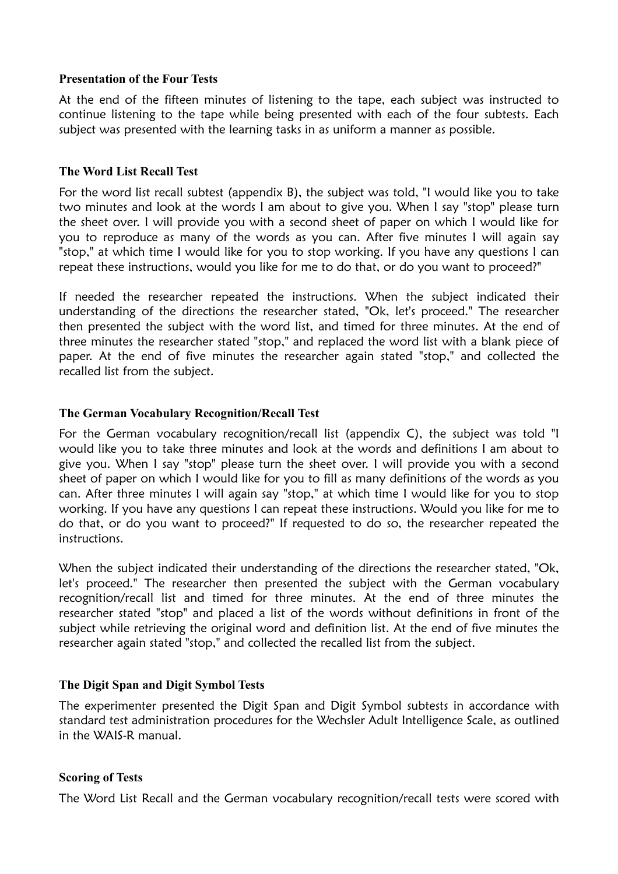#### **Presentation of the Four Tests**

At the end of the fifteen minutes of listening to the tape, each subject was instructed to continue listening to the tape while being presented with each of the four subtests. Each subject was presented with the learning tasks in as uniform a manner as possible.

#### **The Word List Recall Test**

For the word list recall subtest (appendix B), the subject was told, "I would like you to take two minutes and look at the words I am about to give you. When I say "stop" please turn the sheet over. I will provide you with a second sheet of paper on which I would like for you to reproduce as many of the words as you can. After five minutes I will again say "stop," at which time I would like for you to stop working. If you have any questions I can repeat these instructions, would you like for me to do that, or do you want to proceed?"

If needed the researcher repeated the instructions. When the subject indicated their understanding of the directions the researcher stated, "Ok, let's proceed." The researcher then presented the subject with the word list, and timed for three minutes. At the end of three minutes the researcher stated "stop," and replaced the word list with a blank piece of paper. At the end of five minutes the researcher again stated "stop," and collected the recalled list from the subject.

#### **The German Vocabulary Recognition/Recall Test**

For the German vocabulary recognition/recall list (appendix C), the subject was told "I would like you to take three minutes and look at the words and definitions I am about to give you. When I say "stop" please turn the sheet over. I will provide you with a second sheet of paper on which I would like for you to fill as many definitions of the words as you can. After three minutes I will again say "stop," at which time I would like for you to stop working. If you have any questions I can repeat these instructions. Would you like for me to do that, or do you want to proceed?" If requested to do so, the researcher repeated the instructions.

When the subject indicated their understanding of the directions the researcher stated, "Ok, let's proceed." The researcher then presented the subject with the German vocabulary recognition/recall list and timed for three minutes. At the end of three minutes the researcher stated "stop" and placed a list of the words without definitions in front of the subject while retrieving the original word and definition list. At the end of five minutes the researcher again stated "stop," and collected the recalled list from the subject.

#### **The Digit Span and Digit Symbol Tests**

The experimenter presented the Digit Span and Digit Symbol subtests in accordance with standard test administration procedures for the Wechsler Adult Intelligence Scale, as outlined in the WAIS-R manual.

#### **Scoring of Tests**

The Word List Recall and the German vocabulary recognition/recall tests were scored with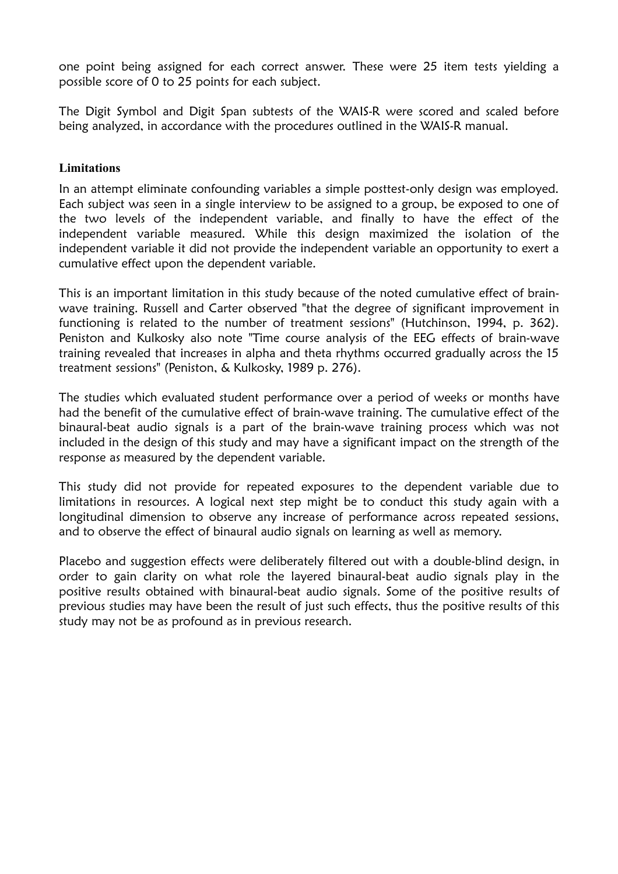one point being assigned for each correct answer. These were 25 item tests yielding a possible score of 0 to 25 points for each subject.

The Digit Symbol and Digit Span subtests of the WAIS-R were scored and scaled before being analyzed, in accordance with the procedures outlined in the WAIS-R manual.

#### **Limitations**

In an attempt eliminate confounding variables a simple posttest-only design was employed. Each subject was seen in a single interview to be assigned to a group, be exposed to one of the two levels of the independent variable, and finally to have the effect of the independent variable measured. While this design maximized the isolation of the independent variable it did not provide the independent variable an opportunity to exert a cumulative effect upon the dependent variable.

This is an important limitation in this study because of the noted cumulative effect of brainwave training. Russell and Carter observed "that the degree of significant improvement in functioning is related to the number of treatment sessions" (Hutchinson, 1994, p. 362). Peniston and Kulkosky also note "Time course analysis of the EEG effects of brain-wave training revealed that increases in alpha and theta rhythms occurred gradually across the 15 treatment sessions" (Peniston, & Kulkosky, 1989 p. 276).

The studies which evaluated student performance over a period of weeks or months have had the benefit of the cumulative effect of brain-wave training. The cumulative effect of the binaural-beat audio signals is a part of the brain-wave training process which was not included in the design of this study and may have a significant impact on the strength of the response as measured by the dependent variable.

This study did not provide for repeated exposures to the dependent variable due to limitations in resources. A logical next step might be to conduct this study again with a longitudinal dimension to observe any increase of performance across repeated sessions, and to observe the effect of binaural audio signals on learning as well as memory.

Placebo and suggestion effects were deliberately filtered out with a double-blind design, in order to gain clarity on what role the layered binaural-beat audio signals play in the positive results obtained with binaural-beat audio signals. Some of the positive results of previous studies may have been the result of just such effects, thus the positive results of this study may not be as profound as in previous research.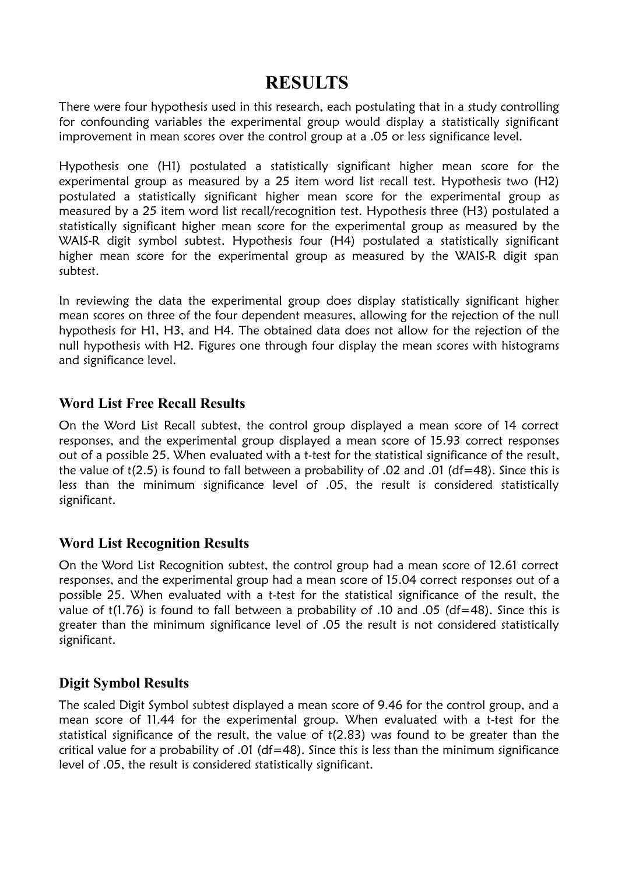## **RESULTS**

There were four hypothesis used in this research, each postulating that in a study controlling for confounding variables the experimental group would display a statistically significant improvement in mean scores over the control group at a .05 or less significance level.

Hypothesis one (H1) postulated a statistically significant higher mean score for the experimental group as measured by a 25 item word list recall test. Hypothesis two (H2) postulated a statistically significant higher mean score for the experimental group as measured by a 25 item word list recall/recognition test. Hypothesis three (H3) postulated a statistically significant higher mean score for the experimental group as measured by the WAIS-R digit symbol subtest. Hypothesis four (H4) postulated a statistically significant higher mean score for the experimental group as measured by the WAIS-R digit span subtest.

In reviewing the data the experimental group does display statistically significant higher mean scores on three of the four dependent measures, allowing for the rejection of the null hypothesis for H1, H3, and H4. The obtained data does not allow for the rejection of the null hypothesis with H2. Figures one through four display the mean scores with histograms and significance level.

## **Word List Free Recall Results**

On the Word List Recall subtest, the control group displayed a mean score of 14 correct responses, and the experimental group displayed a mean score of 15.93 correct responses out of a possible 25. When evaluated with a t-test for the statistical significance of the result, the value of t(2.5) is found to fall between a probability of .02 and .01 (df=48). Since this is less than the minimum significance level of .05, the result is considered statistically significant.

## **Word List Recognition Results**

On the Word List Recognition subtest, the control group had a mean score of 12.61 correct responses, and the experimental group had a mean score of 15.04 correct responses out of a possible 25. When evaluated with a t-test for the statistical significance of the result, the value of t(1.76) is found to fall between a probability of .10 and .05 (df=48). Since this is greater than the minimum significance level of .05 the result is not considered statistically significant.

## **Digit Symbol Results**

The scaled Digit Symbol subtest displayed a mean score of 9.46 for the control group, and a mean score of 11.44 for the experimental group. When evaluated with a t-test for the statistical significance of the result, the value of t(2.83) was found to be greater than the critical value for a probability of .01 (df=48). Since this is less than the minimum significance level of .05, the result is considered statistically significant.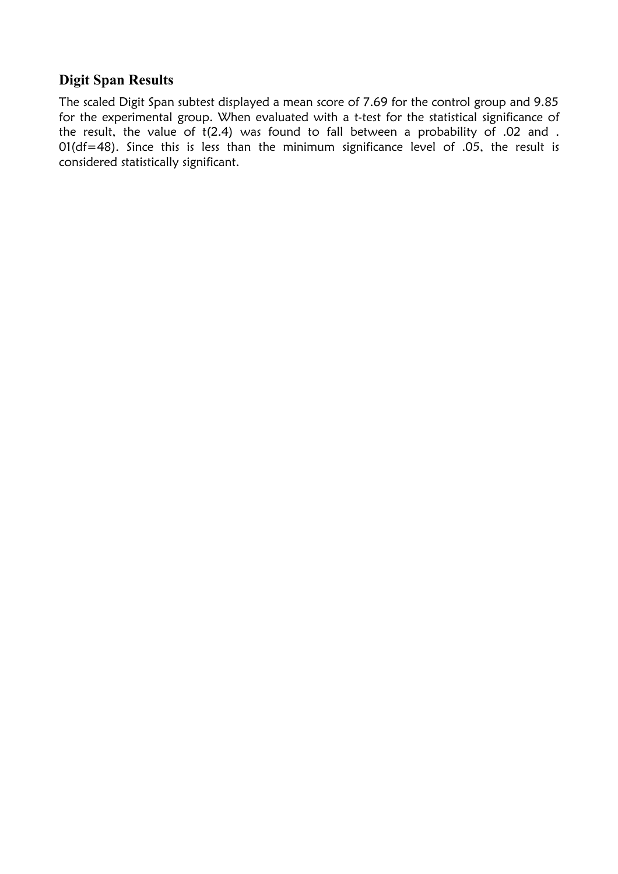## **Digit Span Results**

The scaled Digit Span subtest displayed a mean score of 7.69 for the control group and 9.85 for the experimental group. When evaluated with a t-test for the statistical significance of the result, the value of t(2.4) was found to fall between a probability of .02 and . 01(df=48). Since this is less than the minimum significance level of .05, the result is considered statistically significant.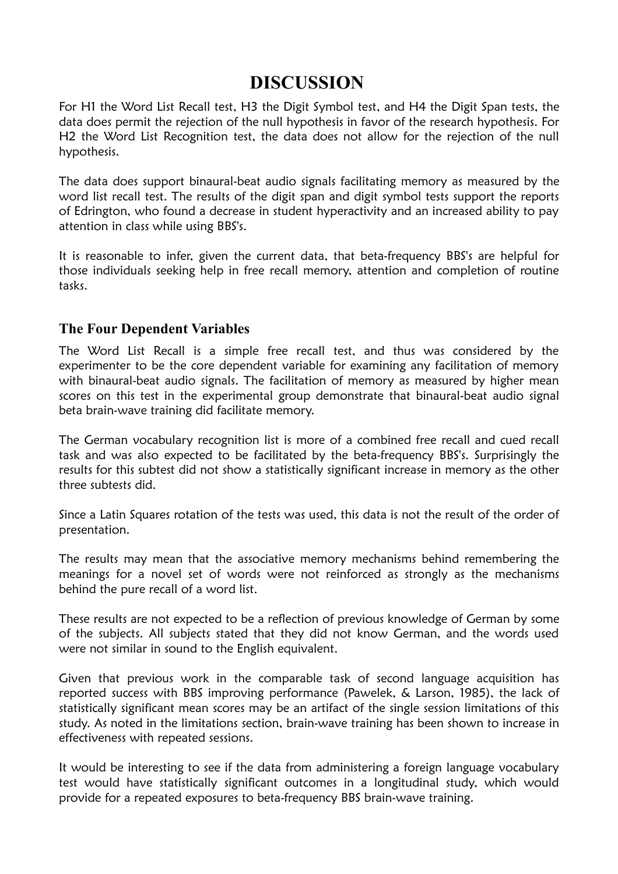## **DISCUSSION**

For H1 the Word List Recall test, H3 the Digit Symbol test, and H4 the Digit Span tests, the data does permit the rejection of the null hypothesis in favor of the research hypothesis. For H2 the Word List Recognition test, the data does not allow for the rejection of the null hypothesis.

The data does support binaural-beat audio signals facilitating memory as measured by the word list recall test. The results of the digit span and digit symbol tests support the reports of Edrington, who found a decrease in student hyperactivity and an increased ability to pay attention in class while using BBS's.

It is reasonable to infer, given the current data, that beta-frequency BBS's are helpful for those individuals seeking help in free recall memory, attention and completion of routine tasks.

## **The Four Dependent Variables**

The Word List Recall is a simple free recall test, and thus was considered by the experimenter to be the core dependent variable for examining any facilitation of memory with binaural-beat audio signals. The facilitation of memory as measured by higher mean scores on this test in the experimental group demonstrate that binaural-beat audio signal beta brain-wave training did facilitate memory.

The German vocabulary recognition list is more of a combined free recall and cued recall task and was also expected to be facilitated by the beta-frequency BBS's. Surprisingly the results for this subtest did not show a statistically significant increase in memory as the other three subtests did.

Since a Latin Squares rotation of the tests was used, this data is not the result of the order of presentation.

The results may mean that the associative memory mechanisms behind remembering the meanings for a novel set of words were not reinforced as strongly as the mechanisms behind the pure recall of a word list.

These results are not expected to be a reflection of previous knowledge of German by some of the subjects. All subjects stated that they did not know German, and the words used were not similar in sound to the English equivalent.

Given that previous work in the comparable task of second language acquisition has reported success with BBS improving performance (Pawelek, & Larson, 1985), the lack of statistically significant mean scores may be an artifact of the single session limitations of this study. As noted in the limitations section, brain-wave training has been shown to increase in effectiveness with repeated sessions.

It would be interesting to see if the data from administering a foreign language vocabulary test would have statistically significant outcomes in a longitudinal study, which would provide for a repeated exposures to beta-frequency BBS brain-wave training.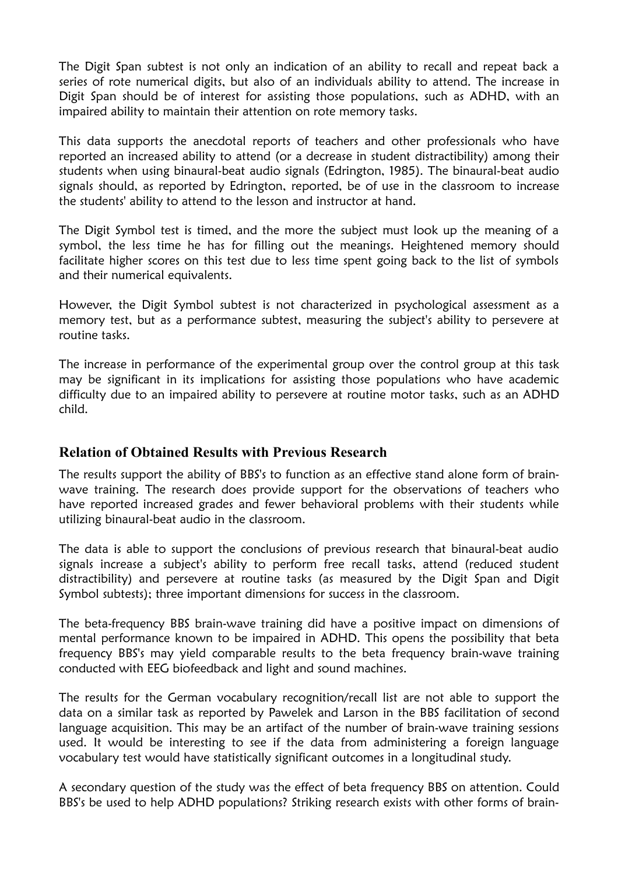The Digit Span subtest is not only an indication of an ability to recall and repeat back a series of rote numerical digits, but also of an individuals ability to attend. The increase in Digit Span should be of interest for assisting those populations, such as ADHD, with an impaired ability to maintain their attention on rote memory tasks.

This data supports the anecdotal reports of teachers and other professionals who have reported an increased ability to attend (or a decrease in student distractibility) among their students when using binaural-beat audio signals (Edrington, 1985). The binaural-beat audio signals should, as reported by Edrington, reported, be of use in the classroom to increase the students' ability to attend to the lesson and instructor at hand.

The Digit Symbol test is timed, and the more the subject must look up the meaning of a symbol, the less time he has for filling out the meanings. Heightened memory should facilitate higher scores on this test due to less time spent going back to the list of symbols and their numerical equivalents.

However, the Digit Symbol subtest is not characterized in psychological assessment as a memory test, but as a performance subtest, measuring the subject's ability to persevere at routine tasks.

The increase in performance of the experimental group over the control group at this task may be significant in its implications for assisting those populations who have academic difficulty due to an impaired ability to persevere at routine motor tasks, such as an ADHD child.

### **Relation of Obtained Results with Previous Research**

The results support the ability of BBS's to function as an effective stand alone form of brainwave training. The research does provide support for the observations of teachers who have reported increased grades and fewer behavioral problems with their students while utilizing binaural-beat audio in the classroom.

The data is able to support the conclusions of previous research that binaural-beat audio signals increase a subject's ability to perform free recall tasks, attend (reduced student distractibility) and persevere at routine tasks (as measured by the Digit Span and Digit Symbol subtests); three important dimensions for success in the classroom.

The beta-frequency BBS brain-wave training did have a positive impact on dimensions of mental performance known to be impaired in ADHD. This opens the possibility that beta frequency BBS's may yield comparable results to the beta frequency brain-wave training conducted with EEG biofeedback and light and sound machines.

The results for the German vocabulary recognition/recall list are not able to support the data on a similar task as reported by Pawelek and Larson in the BBS facilitation of second language acquisition. This may be an artifact of the number of brain-wave training sessions used. It would be interesting to see if the data from administering a foreign language vocabulary test would have statistically significant outcomes in a longitudinal study.

A secondary question of the study was the effect of beta frequency BBS on attention. Could BBS's be used to help ADHD populations? Striking research exists with other forms of brain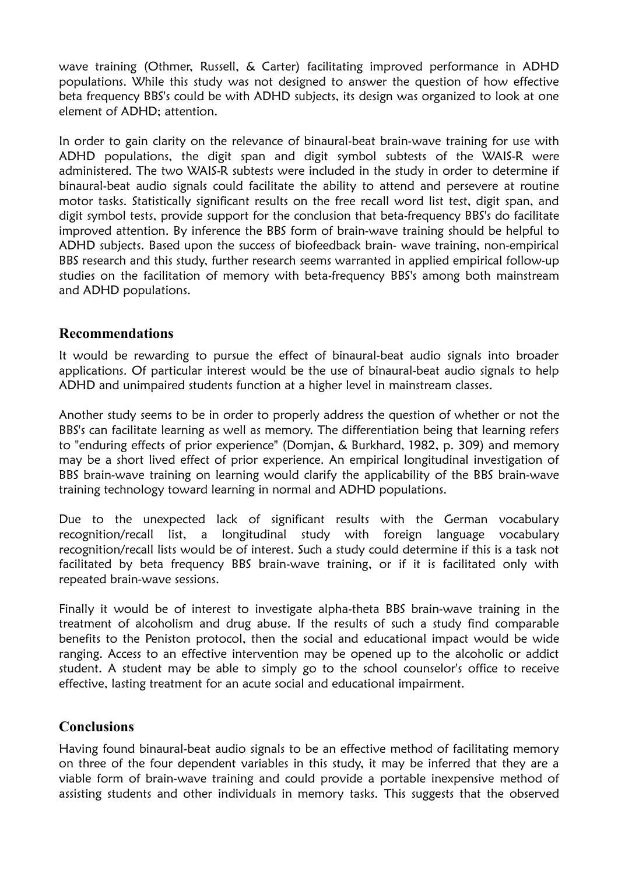wave training (Othmer, Russell, & Carter) facilitating improved performance in ADHD populations. While this study was not designed to answer the question of how effective beta frequency BBS's could be with ADHD subjects, its design was organized to look at one element of ADHD; attention.

In order to gain clarity on the relevance of binaural-beat brain-wave training for use with ADHD populations, the digit span and digit symbol subtests of the WAIS-R were administered. The two WAIS-R subtests were included in the study in order to determine if binaural-beat audio signals could facilitate the ability to attend and persevere at routine motor tasks. Statistically significant results on the free recall word list test, digit span, and digit symbol tests, provide support for the conclusion that beta-frequency BBS's do facilitate improved attention. By inference the BBS form of brain-wave training should be helpful to ADHD subjects. Based upon the success of biofeedback brain- wave training, non-empirical BBS research and this study, further research seems warranted in applied empirical follow-up studies on the facilitation of memory with beta-frequency BBS's among both mainstream and ADHD populations.

### **Recommendations**

It would be rewarding to pursue the effect of binaural-beat audio signals into broader applications. Of particular interest would be the use of binaural-beat audio signals to help ADHD and unimpaired students function at a higher level in mainstream classes.

Another study seems to be in order to properly address the question of whether or not the BBS's can facilitate learning as well as memory. The differentiation being that learning refers to "enduring effects of prior experience" (Domjan, & Burkhard, 1982, p. 309) and memory may be a short lived effect of prior experience. An empirical longitudinal investigation of BBS brain-wave training on learning would clarify the applicability of the BBS brain-wave training technology toward learning in normal and ADHD populations.

Due to the unexpected lack of significant results with the German vocabulary recognition/recall list, a longitudinal study with foreign language vocabulary recognition/recall lists would be of interest. Such a study could determine if this is a task not facilitated by beta frequency BBS brain-wave training, or if it is facilitated only with repeated brain-wave sessions.

Finally it would be of interest to investigate alpha-theta BBS brain-wave training in the treatment of alcoholism and drug abuse. If the results of such a study find comparable benefits to the Peniston protocol, then the social and educational impact would be wide ranging. Access to an effective intervention may be opened up to the alcoholic or addict student. A student may be able to simply go to the school counselor's office to receive effective, lasting treatment for an acute social and educational impairment.

### **Conclusions**

Having found binaural-beat audio signals to be an effective method of facilitating memory on three of the four dependent variables in this study, it may be inferred that they are a viable form of brain-wave training and could provide a portable inexpensive method of assisting students and other individuals in memory tasks. This suggests that the observed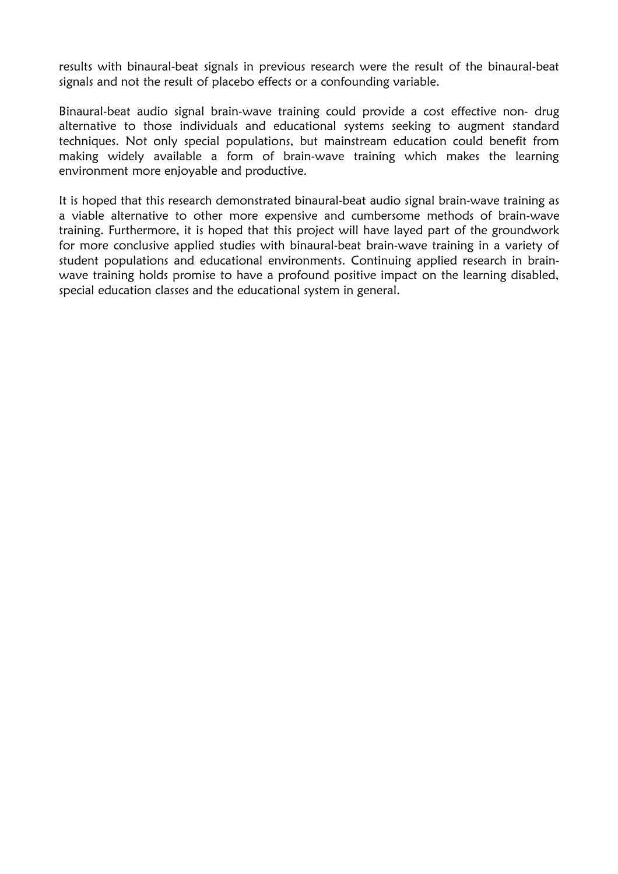results with binaural-beat signals in previous research were the result of the binaural-beat signals and not the result of placebo effects or a confounding variable.

Binaural-beat audio signal brain-wave training could provide a cost effective non- drug alternative to those individuals and educational systems seeking to augment standard techniques. Not only special populations, but mainstream education could benefit from making widely available a form of brain-wave training which makes the learning environment more enjoyable and productive.

It is hoped that this research demonstrated binaural-beat audio signal brain-wave training as a viable alternative to other more expensive and cumbersome methods of brain-wave training. Furthermore, it is hoped that this project will have layed part of the groundwork for more conclusive applied studies with binaural-beat brain-wave training in a variety of student populations and educational environments. Continuing applied research in brainwave training holds promise to have a profound positive impact on the learning disabled, special education classes and the educational system in general.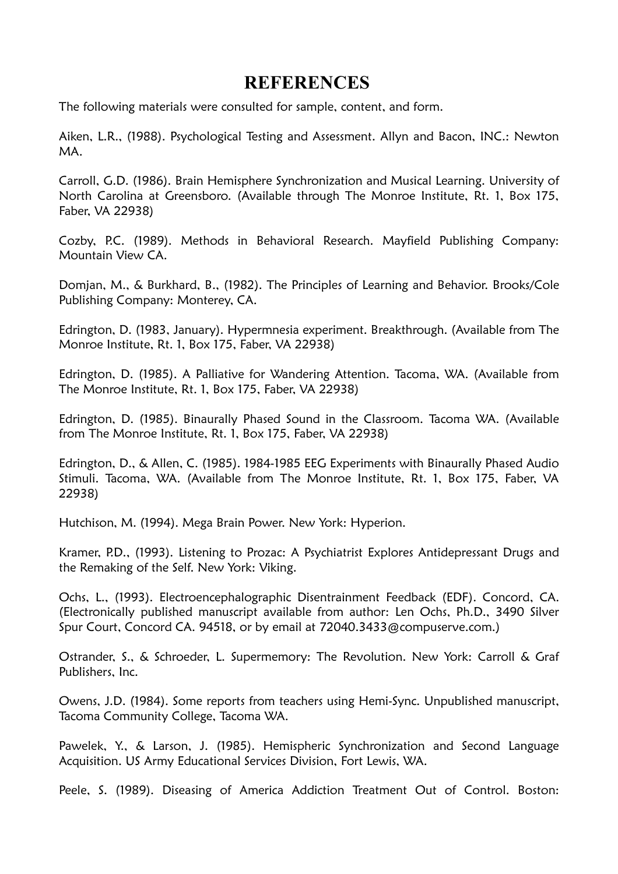## **REFERENCES**

The following materials were consulted for sample, content, and form.

Aiken, L.R., (1988). Psychological Testing and Assessment. Allyn and Bacon, INC.: Newton MA.

Carroll, G.D. (1986). Brain Hemisphere Synchronization and Musical Learning. University of North Carolina at Greensboro. (Available through The Monroe Institute, Rt. 1, Box 175, Faber, VA 22938)

Cozby, P.C. (1989). Methods in Behavioral Research. Mayfield Publishing Company: Mountain View CA.

Domjan, M., & Burkhard, B., (1982). The Principles of Learning and Behavior. Brooks/Cole Publishing Company: Monterey, CA.

Edrington, D. (1983, January). Hypermnesia experiment. Breakthrough. (Available from The Monroe Institute, Rt. 1, Box 175, Faber, VA 22938)

Edrington, D. (1985). A Palliative for Wandering Attention. Tacoma, WA. (Available from The Monroe Institute, Rt. 1, Box 175, Faber, VA 22938)

Edrington, D. (1985). Binaurally Phased Sound in the Classroom. Tacoma WA. (Available from The Monroe Institute, Rt. 1, Box 175, Faber, VA 22938)

Edrington, D., & Allen, C. (1985). 1984-1985 EEG Experiments with Binaurally Phased Audio Stimuli. Tacoma, WA. (Available from The Monroe Institute, Rt. 1, Box 175, Faber, VA 22938)

Hutchison, M. (1994). Mega Brain Power. New York: Hyperion.

Kramer, P.D., (1993). Listening to Prozac: A Psychiatrist Explores Antidepressant Drugs and the Remaking of the Self. New York: Viking.

Ochs, L., (1993). Electroencephalographic Disentrainment Feedback (EDF). Concord, CA. (Electronically published manuscript available from author: Len Ochs, Ph.D., 3490 Silver Spur Court, Concord CA. 94518, or by email at 72040.3433@compuserve.com.)

Ostrander, S., & Schroeder, L. Supermemory: The Revolution. New York: Carroll & Graf Publishers, Inc.

Owens, J.D. (1984). Some reports from teachers using Hemi-Sync. Unpublished manuscript, Tacoma Community College, Tacoma WA.

Pawelek, Y., & Larson, J. (1985). Hemispheric Synchronization and Second Language Acquisition. US Army Educational Services Division, Fort Lewis, WA.

Peele, S. (1989). Diseasing of America Addiction Treatment Out of Control. Boston: